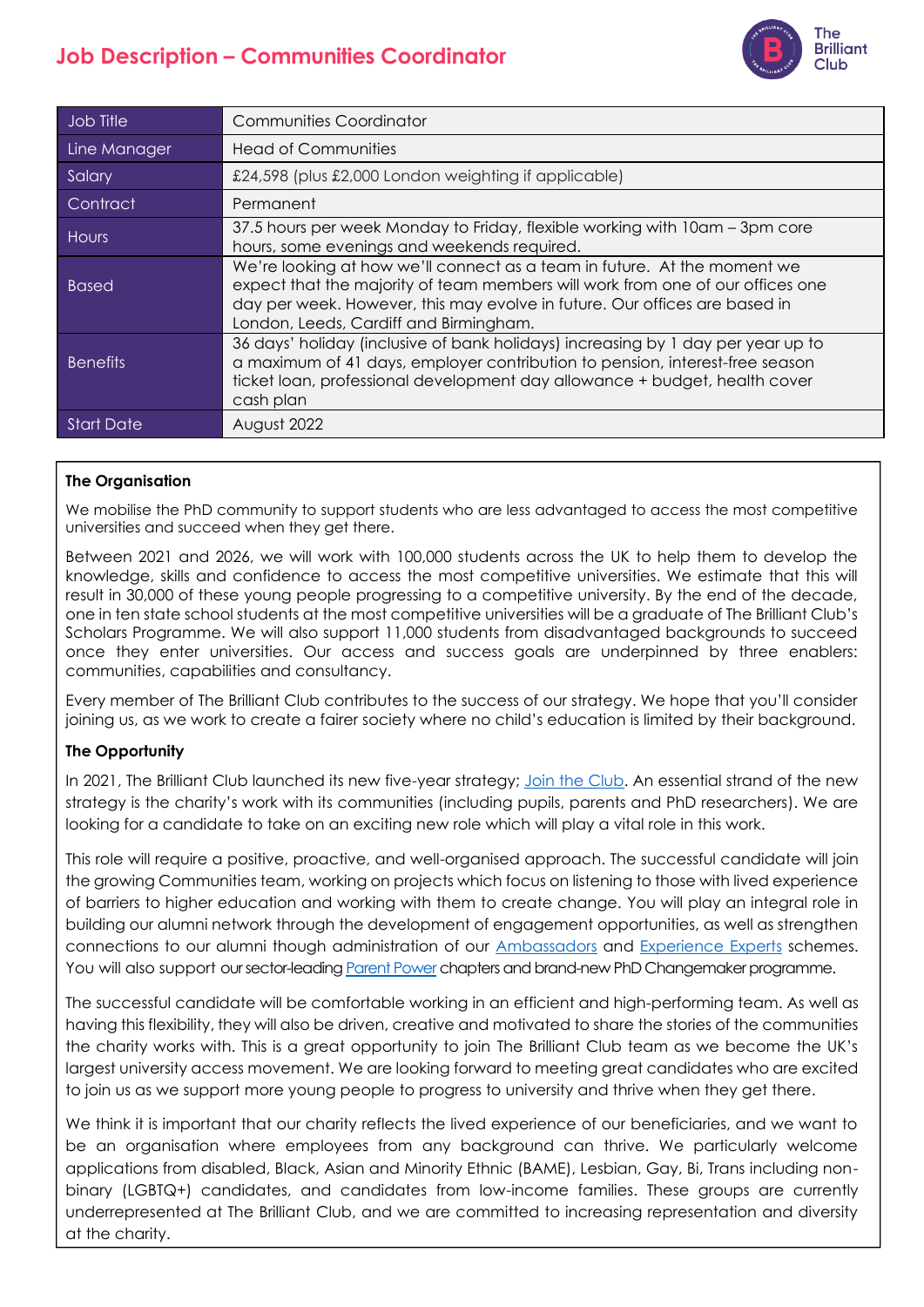# **Job Description – Communities Coordinator**



| Job Title         | <b>Communities Coordinator</b>                                                                                                                                                                                                                                                     |
|-------------------|------------------------------------------------------------------------------------------------------------------------------------------------------------------------------------------------------------------------------------------------------------------------------------|
| Line Manager      | <b>Head of Communities</b>                                                                                                                                                                                                                                                         |
| Salary            | £24,598 (plus £2,000 London weighting if applicable)                                                                                                                                                                                                                               |
| Contract          | Permanent                                                                                                                                                                                                                                                                          |
| <b>Hours</b>      | 37.5 hours per week Monday to Friday, flexible working with 10am – 3pm core<br>hours, some evenings and weekends required.                                                                                                                                                         |
| <b>Based</b>      | We're looking at how we'll connect as a team in future. At the moment we<br>expect that the majority of team members will work from one of our offices one<br>day per week. However, this may evolve in future. Our offices are based in<br>London, Leeds, Cardiff and Birmingham. |
| <b>Benefits</b>   | 36 days' holiday (inclusive of bank holidays) increasing by 1 day per year up to<br>a maximum of 41 days, employer contribution to pension, interest-free season<br>ticket loan, professional development day allowance + budget, health cover<br>cash plan                        |
| <b>Start Date</b> | August 2022                                                                                                                                                                                                                                                                        |

## **The Organisation**

We mobilise the PhD community to support students who are less advantaged to access the most competitive universities and succeed when they get there.

Between 2021 and 2026, we will work with 100,000 students across the UK to help them to develop the knowledge, skills and confidence to access the most competitive universities. We estimate that this will result in 30,000 of these young people progressing to a competitive university. By the end of the decade, one in ten state school students at the most competitive universities will be a graduate of The Brilliant Club's Scholars Programme. We will also support 11,000 students from disadvantaged backgrounds to succeed once they enter universities. Our access and success goals are underpinned by three enablers: communities, capabilities and consultancy.

Every member of The Brilliant Club contributes to the success of our strategy. We hope that you'll consider joining us, as we work to create a fairer society where no child's education is limited by their background.

## **The Opportunity**

In 2021, The Brilliant Club launched its new five-year strategy; [Join the Club.](https://thebrilliantclub.org/wp-content/uploads/2021/09/Join-the-Club-2021-26.pdf) An essential strand of the new strategy is the charity's work with its communities (including pupils, parents and PhD researchers). We are looking for a candidate to take on an exciting new role which will play a vital role in this work.

This role will require a positive, proactive, and well-organised approach. The successful candidate will join the growing Communities team, working on projects which focus on listening to those with lived experience of barriers to higher education and working with them to create change. You will play an integral role in building our alumni network through the development of engagement opportunities, as well as strengthen connections to our alumni though administration of our [Ambassadors](https://thebrilliantclub.org/team/ambassadors/) and [Experience Experts](https://thebrilliantclub.org/experience-experts-panel/) schemes. You will also support our sector-leadin[g Parent Power](https://thebrilliantclub.org/parents/parent-power/) chapters and brand-new PhD Changemaker programme.

The successful candidate will be comfortable working in an efficient and high-performing team. As well as having this flexibility, they will also be driven, creative and motivated to share the stories of the communities the charity works with. This is a great opportunity to join The Brilliant Club team as we become the UK's largest university access movement. We are looking forward to meeting great candidates who are excited to join us as we support more young people to progress to university and thrive when they get there.

We think it is important that our charity reflects the lived experience of our beneficiaries, and we want to be an organisation where employees from any background can thrive. We particularly welcome applications from disabled, Black, Asian and Minority Ethnic (BAME), Lesbian, Gay, Bi, Trans including nonbinary (LGBTQ+) candidates, and candidates from low-income families. These groups are currently underrepresented at The Brilliant Club, and we are committed to increasing representation and diversity at the charity.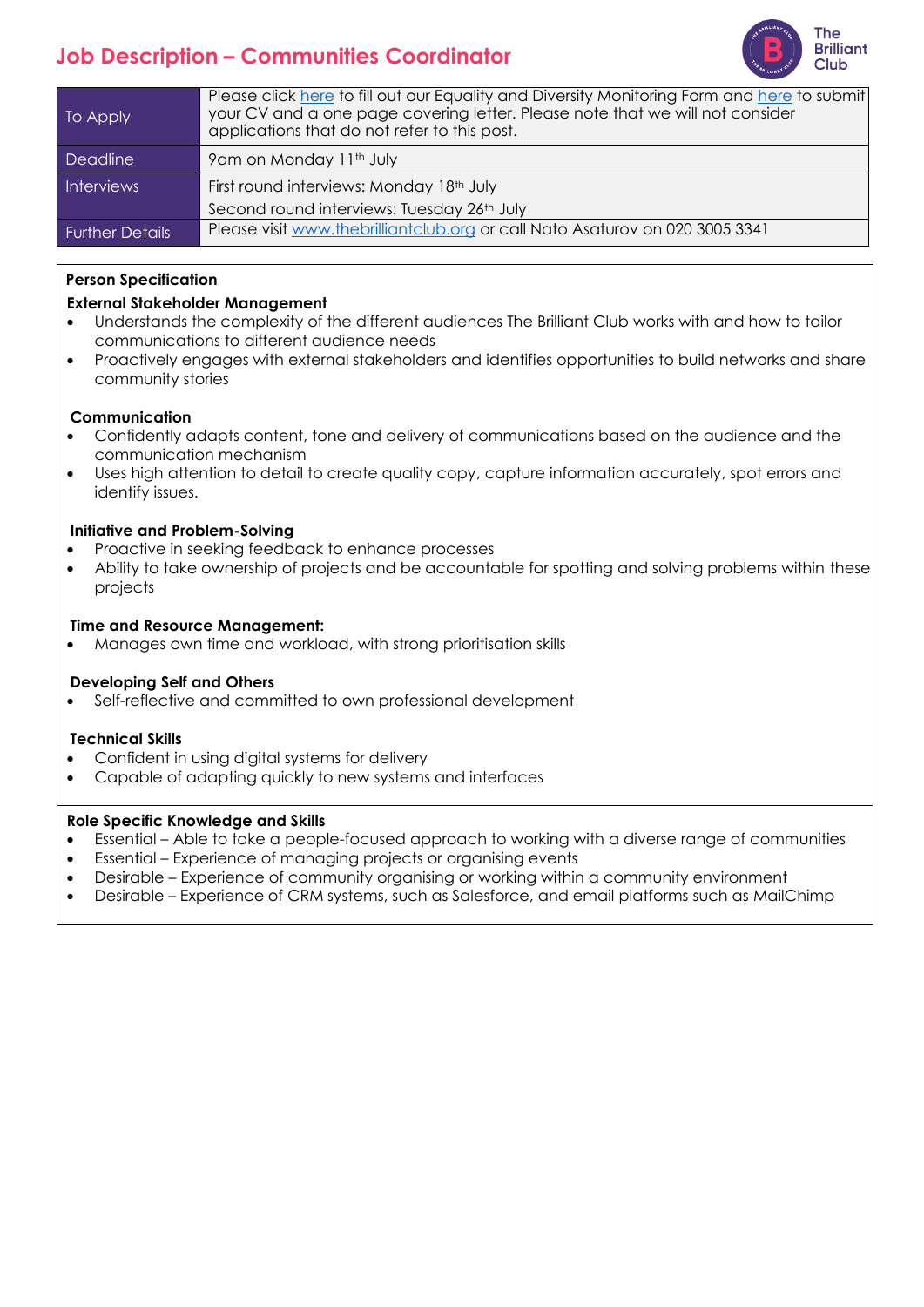# **Job Description – Communities Coordinator**



| To Apply               | Please click here to fill out our Equality and Diversity Monitoring Form and here to submit<br>your CV and a one page covering letter. Please note that we will not consider<br>applications that do not refer to this post. |
|------------------------|------------------------------------------------------------------------------------------------------------------------------------------------------------------------------------------------------------------------------|
| <b>Deadline</b>        | 9am on Monday 11th July                                                                                                                                                                                                      |
| <b>Interviews</b>      | First round interviews: Monday 18th July                                                                                                                                                                                     |
|                        | Second round interviews: Tuesday 26th July                                                                                                                                                                                   |
| <b>Further Details</b> | Please visit www.thebrilliantclub.org or call Nato Asaturov on 020 3005 3341                                                                                                                                                 |

## **Person Specification**

## **External Stakeholder Management**

- Understands the complexity of the different audiences The Brilliant Club works with and how to tailor communications to different audience needs
- Proactively engages with external stakeholders and identifies opportunities to build networks and share community stories

#### **Communication**

- Confidently adapts content, tone and delivery of communications based on the audience and the communication mechanism
- Uses high attention to detail to create quality copy, capture information accurately, spot errors and identify issues.

### **Initiative and Problem-Solving**

- Proactive in seeking feedback to enhance processes
- Ability to take ownership of projects and be accountable for spotting and solving problems within these projects

#### **Time and Resource Management:**

• Manages own time and workload, with strong prioritisation skills

### **Developing Self and Others**

Self-reflective and committed to own professional development

### **Technical Skills**

- Confident in using digital systems for delivery
- Capable of adapting quickly to new systems and interfaces

### **Role Specific Knowledge and Skills**

- Essential Able to take a people-focused approach to working with a diverse range of communities
- Essential Experience of managing projects or organising events
- Desirable Experience of community organising or working within a community environment
- Desirable Experience of CRM systems, such as Salesforce, and email platforms such as MailChimp